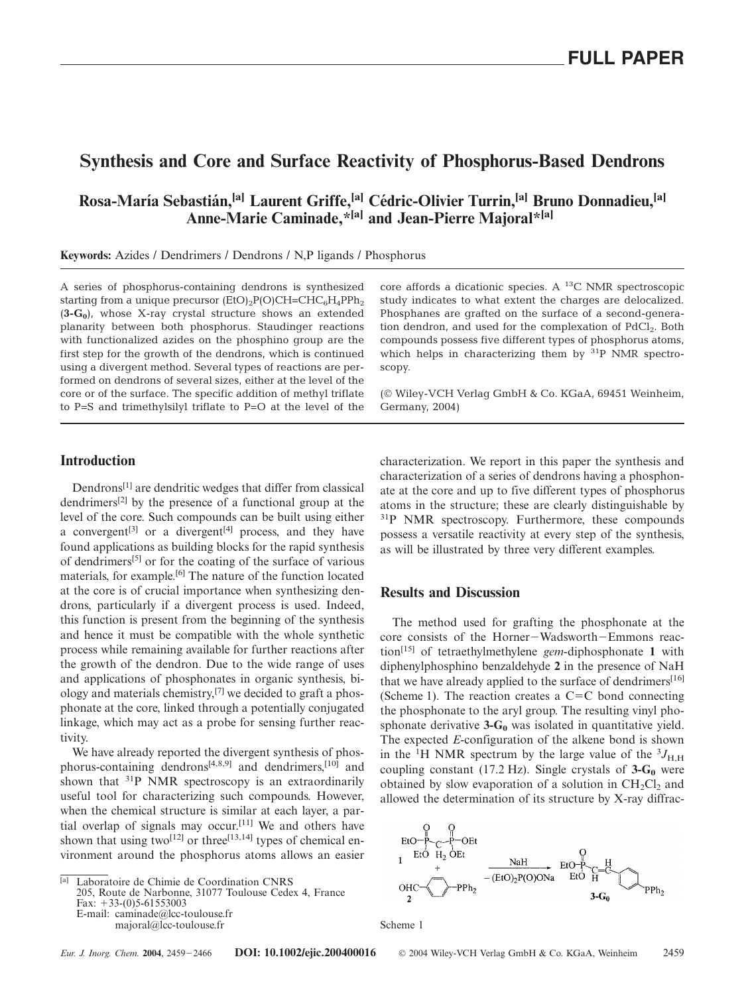# **Synthesis and Core and Surface Reactivity of Phosphorus-Based Dendrons**

## **Rosa-Marı´a Sebastia´n,[a] Laurent Griffe,[a] Ce´dric-Olivier Turrin,[a] Bruno Donnadieu,[a] Anne-Marie Caminade,\*[a] and Jean-Pierre Majoral\*[a]**

**Keywords:** Azides / Dendrimers / Dendrons / N,P ligands / Phosphorus

A series of phosphorus-containing dendrons is synthesized starting from a unique precursor  $(EtO)<sub>2</sub>P(O)CH=CHC<sub>6</sub>H<sub>4</sub>PPh<sub>2</sub>$ (**3-G0**), whose X-ray crystal structure shows an extended planarity between both phosphorus. Staudinger reactions with functionalized azides on the phosphino group are the first step for the growth of the dendrons, which is continued using a divergent method. Several types of reactions are performed on dendrons of several sizes, either at the level of the core or of the surface. The specific addition of methyl triflate to P=S and trimethylsilyl triflate to P=O at the level of the core affords a dicationic species. A 13C NMR spectroscopic study indicates to what extent the charges are delocalized. Phosphanes are grafted on the surface of a second-generation dendron, and used for the complexation of PdCl<sub>2</sub>. Both compounds possess five different types of phosphorus atoms, which helps in characterizing them by  $31P$  NMR spectroscopy.

(© Wiley-VCH Verlag GmbH & Co. KGaA, 69451 Weinheim, Germany, 2004)

### **Introduction**

Dendrons[1] are dendritic wedges that differ from classical dendrimers[2] by the presence of a functional group at the level of the core. Such compounds can be built using either a convergent<sup>[3]</sup> or a divergent<sup>[4]</sup> process, and they have found applications as building blocks for the rapid synthesis of dendrimers[5] or for the coating of the surface of various materials, for example.[6] The nature of the function located at the core is of crucial importance when synthesizing dendrons, particularly if a divergent process is used. Indeed, this function is present from the beginning of the synthesis and hence it must be compatible with the whole synthetic process while remaining available for further reactions after the growth of the dendron. Due to the wide range of uses and applications of phosphonates in organic synthesis, biology and materials chemistry, $[7]$  we decided to graft a phosphonate at the core, linked through a potentially conjugated linkage, which may act as a probe for sensing further reactivity.

We have already reported the divergent synthesis of phosphorus-containing dendrons[4,8,9] and dendrimers,[10] and shown that <sup>31</sup>P NMR spectroscopy is an extraordinarily useful tool for characterizing such compounds. However, when the chemical structure is similar at each layer, a partial overlap of signals may occur.[11] We and others have shown that using two<sup>[12]</sup> or three<sup>[13,14]</sup> types of chemical environment around the phosphorus atoms allows an easier

[a] Laboratoire de Chimie de Coordination CNRS

205, Route de Narbonne, 31077 Toulouse Cedex 4, France Fax:  $+33-(0)5-61553003$ E-mail: caminade@lcc-toulouse.fr

majoral@lcc-toulouse.fr

characterization. We report in this paper the synthesis and characterization of a series of dendrons having a phosphonate at the core and up to five different types of phosphorus atoms in the structure; these are clearly distinguishable by <sup>31</sup>P NMR spectroscopy. Furthermore, these compounds possess a versatile reactivity at every step of the synthesis, as will be illustrated by three very different examples.

#### **Results and Discussion**

The method used for grafting the phosphonate at the core consists of the Horner-Wadsworth-Emmons reaction[15] of tetraethylmethylene *gem*-diphosphonate **1** with diphenylphosphino benzaldehyde **2** in the presence of NaH that we have already applied to the surface of dendrimers<sup>[16]</sup> (Scheme 1). The reaction creates a  $C=C$  bond connecting the phosphonate to the aryl group. The resulting vinyl phosphonate derivative  $3 - G_0$  was isolated in quantitative yield. The expected *E*-configuration of the alkene bond is shown in the <sup>1</sup>H NMR spectrum by the large value of the  ${}^{3}J_{\text{H,H}}$ coupling constant (17.2 Hz). Single crystals of  $3-\text{G}_0$  were obtained by slow evaporation of a solution in  $CH_2Cl_2$  and allowed the determination of its structure by X-ray diffrac-



Scheme 1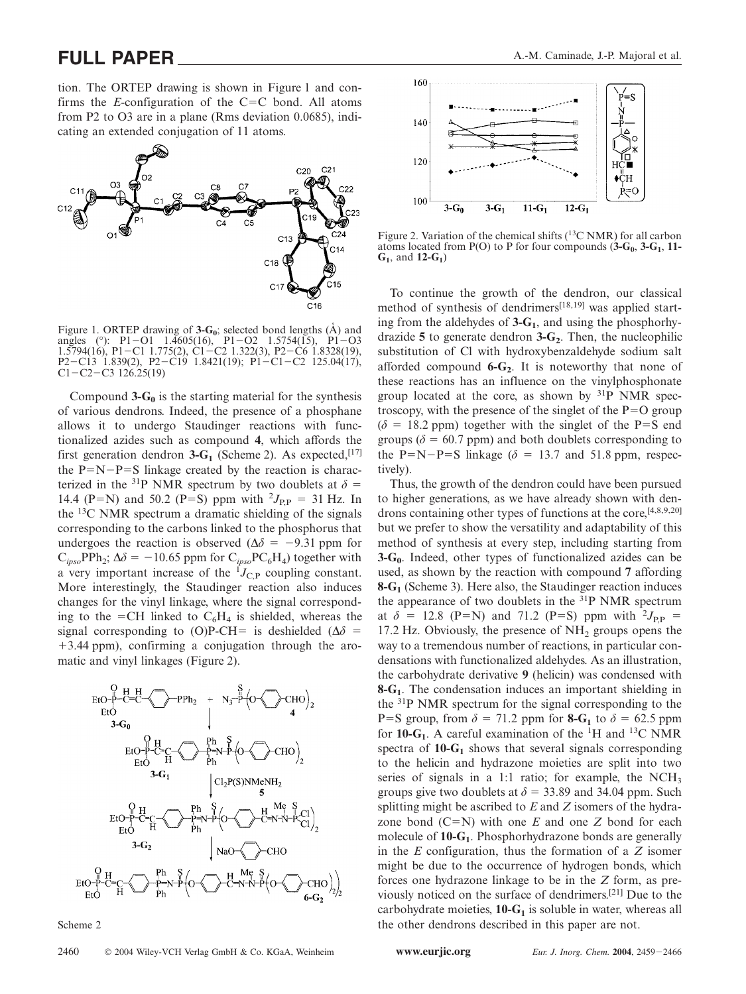tion. The ORTEP drawing is shown in Figure 1 and confirms the *E*-configuration of the  $C = C$  bond. All atoms from P2 to O3 are in a plane (Rms deviation 0.0685), indicating an extended conjugation of 11 atoms.



Figure 1. ORTEP drawing of  $3-G_0$ ; selected bond lengths  $(\hat{A})$  and angles (°): P1-O1 1.4605(16), P1-O2 1.5754(15), P1-O3 1.5794(16), P1-C1 1.775(2), C1-C2 1.322(3), P2-C6 1.8328(19), P2-C13 1.839(2), P2-C19 1.8421(19); P1-C1-C2 125.04(17),  $C1 - C2 - C3$  126.25(19)

Compound  $3-\mathbf{G}_0$  is the starting material for the synthesis of various dendrons. Indeed, the presence of a phosphane allows it to undergo Staudinger reactions with functionalized azides such as compound **4**, which affords the first generation dendron  $3-G_1$  (Scheme 2). As expected, <sup>[17]</sup> the  $P=N-P=S$  linkage created by the reaction is characterized in the <sup>31</sup>P NMR spectrum by two doublets at  $\delta$  = 14.4 (P=N) and 50.2 (P=S) ppm with  $^{2}J_{\text{P,P}} = 31$  Hz. In the 13C NMR spectrum a dramatic shielding of the signals corresponding to the carbons linked to the phosphorus that undergoes the reaction is observed  $(\Delta \delta = -9.31$  ppm for  $C_{ipso}$ PPh<sub>2</sub>;  $\Delta \delta = -10.65$  ppm for  $C_{ipso}$ PC<sub>6</sub>H<sub>4</sub>) together with a very important increase of the  ${}^{I}J_{C,P}$  coupling constant. More interestingly, the Staudinger reaction also induces changes for the vinyl linkage, where the signal corresponding to the =CH linked to  $C_6H_4$  is shielded, whereas the signal corresponding to (O)P-CH= is deshielded ( $\Delta\delta$  = 3.44 ppm), confirming a conjugation through the aromatic and vinyl linkages (Figure 2).



Scheme 2



Figure 2. Variation of the chemical shifts  $(^{13}C NMR)$  for all carbon atoms located from P(O) to P for four compounds  $(\hat{\mathbf{3}}{\text -}{\text G}_0, \hat{\mathbf{3}}{\text -}{\text G}_1, \hat{\mathbf{1}}{\text -}{\text I})$ **G1**, and **12-G1**)

To continue the growth of the dendron, our classical method of synthesis of dendrimers<sup>[18,19]</sup> was applied starting from the aldehydes of **3-G1**, and using the phosphorhydrazide 5 to generate dendron 3-G<sub>2</sub>. Then, the nucleophilic substitution of Cl with hydroxybenzaldehyde sodium salt afforded compound  $6 - G_2$ . It is noteworthy that none of these reactions has an influence on the vinylphosphonate group located at the core, as shown by  $31P$  NMR spectroscopy, with the presence of the singlet of the  $P=O$  group  $(\delta = 18.2 \text{ ppm})$  together with the singlet of the P=S end groups ( $\delta$  = 60.7 ppm) and both doublets corresponding to the P=N-P=S linkage ( $\delta$  = 13.7 and 51.8 ppm, respectively).

Thus, the growth of the dendron could have been pursued to higher generations, as we have already shown with dendrons containing other types of functions at the core,[4,8,9,20] but we prefer to show the versatility and adaptability of this method of synthesis at every step, including starting from **3-G0**. Indeed, other types of functionalized azides can be used, as shown by the reaction with compound **7** affording **8-G1** (Scheme 3). Here also, the Staudinger reaction induces the appearance of two doublets in the <sup>31</sup>P NMR spectrum at  $\delta$  = 12.8 (P=N) and 71.2 (P=S) ppm with <sup>2</sup> $J_{\text{P,P}}$  = 17.2 Hz. Obviously, the presence of  $NH<sub>2</sub>$  groups opens the way to a tremendous number of reactions, in particular condensations with functionalized aldehydes. As an illustration, the carbohydrate derivative **9** (helicin) was condensed with **8-G1**. The condensation induces an important shielding in the 31P NMR spectrum for the signal corresponding to the P=S group, from  $\delta$  = 71.2 ppm for **8-G<sub>1</sub>** to  $\delta$  = 62.5 ppm for  $10-G_1$ . A careful examination of the <sup>1</sup>H and <sup>13</sup>C NMR spectra of  $10-G_1$  shows that several signals corresponding to the helicin and hydrazone moieties are split into two series of signals in a 1:1 ratio; for example, the  $NCH<sub>3</sub>$ groups give two doublets at  $\delta = 33.89$  and 34.04 ppm. Such splitting might be ascribed to *E* and *Z* isomers of the hydrazone bond  $(C=N)$  with one *E* and one *Z* bond for each molecule of **10-G1**. Phosphorhydrazone bonds are generally in the *E* configuration, thus the formation of a *Z* isomer might be due to the occurrence of hydrogen bonds, which forces one hydrazone linkage to be in the *Z* form, as previously noticed on the surface of dendrimers.[21] Due to the carbohydrate moieties,  $10-G<sub>1</sub>$  is soluble in water, whereas all the other dendrons described in this paper are not.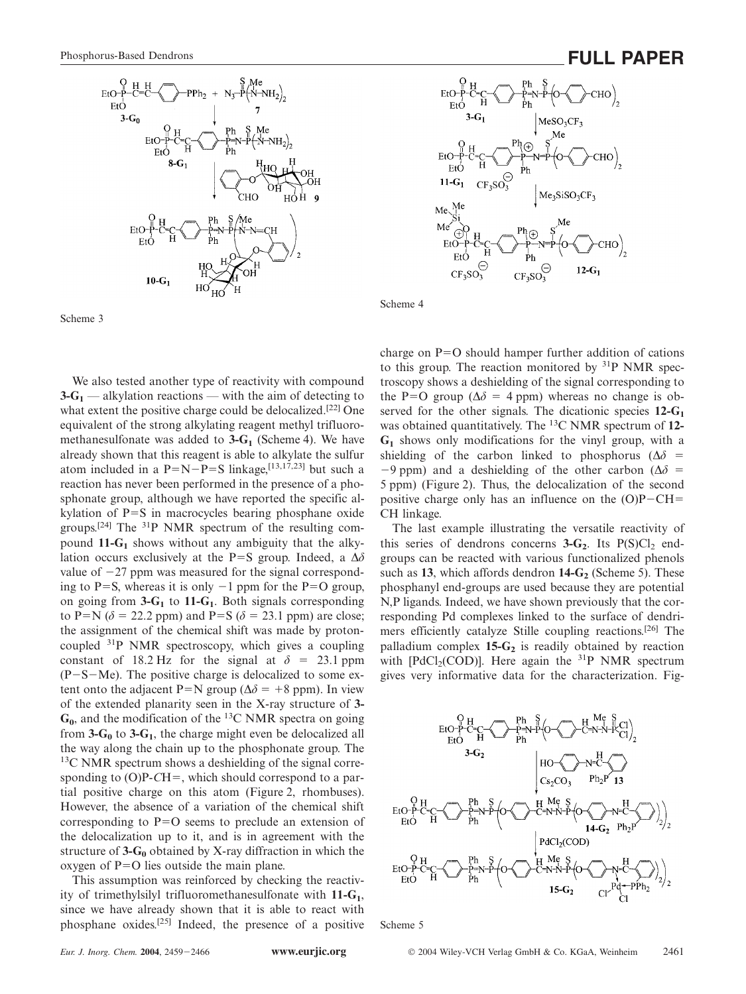

Scheme 3

We also tested another type of reactivity with compound  $3 - G_1$  — alkylation reactions — with the aim of detecting to what extent the positive charge could be delocalized.<sup>[22]</sup> One equivalent of the strong alkylating reagent methyl trifluoromethanesulfonate was added to **3-G<sub>1</sub>** (Scheme 4). We have already shown that this reagent is able to alkylate the sulfur atom included in a  $P=N-P=S$  linkage,  $^{[13,17,23]}$  but such a reaction has never been performed in the presence of a phosphonate group, although we have reported the specific alkylation of  $P=S$  in macrocycles bearing phosphane oxide groups.[24] The 31P NMR spectrum of the resulting compound **11-G1** shows without any ambiguity that the alkylation occurs exclusively at the P=S group. Indeed, a  $\Delta \delta$ value of  $-27$  ppm was measured for the signal corresponding to P=S, whereas it is only  $-1$  ppm for the P=O group, on going from **3-G1** to **11-G1**. Both signals corresponding to P=N ( $\delta$  = 22.2 ppm) and P=S ( $\delta$  = 23.1 ppm) are close; the assignment of the chemical shift was made by protoncoupled 31P NMR spectroscopy, which gives a coupling constant of 18.2 Hz for the signal at  $\delta = 23.1$  ppm (P-S-Me). The positive charge is delocalized to some extent onto the adjacent P=N group ( $\Delta \delta$  = +8 ppm). In view of the extended planarity seen in the X-ray structure of **3-**  $G_0$ , and the modification of the <sup>13</sup>C NMR spectra on going from  $3 - G_0$  to  $3 - G_1$ , the charge might even be delocalized all the way along the chain up to the phosphonate group. The 13C NMR spectrum shows a deshielding of the signal corresponding to  $(O)P-CH =$ , which should correspond to a partial positive charge on this atom (Figure 2, rhombuses). However, the absence of a variation of the chemical shift corresponding to  $P=O$  seems to preclude an extension of the delocalization up to it, and is in agreement with the structure of  $3 - G_0$  obtained by X-ray diffraction in which the oxygen of  $P=O$  lies outside the main plane.

This assumption was reinforced by checking the reactivity of trimethylsilyl trifluoromethanesulfonate with **11-G1**, since we have already shown that it is able to react with phosphane oxides.[25] Indeed, the presence of a positive





Scheme 4

charge on  $P=O$  should hamper further addition of cations to this group. The reaction monitored by  $31P$  NMR spectroscopy shows a deshielding of the signal corresponding to the P=O group ( $\Delta \delta$  = 4 ppm) whereas no change is observed for the other signals. The dicationic species **12-G1** was obtained quantitatively. The 13C NMR spectrum of **12- G1** shows only modifications for the vinyl group, with a shielding of the carbon linked to phosphorus ( $\Delta \delta$  =  $-9$  ppm) and a deshielding of the other carbon ( $\Delta\delta$  = 5 ppm) (Figure 2). Thus, the delocalization of the second positive charge only has an influence on the  $(O)P-CH=$ CH linkage.

The last example illustrating the versatile reactivity of this series of dendrons concerns  $3-G_2$ . Its  $P(S)Cl_2$  endgroups can be reacted with various functionalized phenols such as 13, which affords dendron 14-G<sub>2</sub> (Scheme 5). These phosphanyl end-groups are used because they are potential N,P ligands. Indeed, we have shown previously that the corresponding Pd complexes linked to the surface of dendrimers efficiently catalyze Stille coupling reactions.[26] The palladium complex 15-G<sub>2</sub> is readily obtained by reaction with  $[PdCl_2(COD)]$ . Here again the <sup>31</sup>P NMR spectrum gives very informative data for the characterization. Fig-



Scheme 5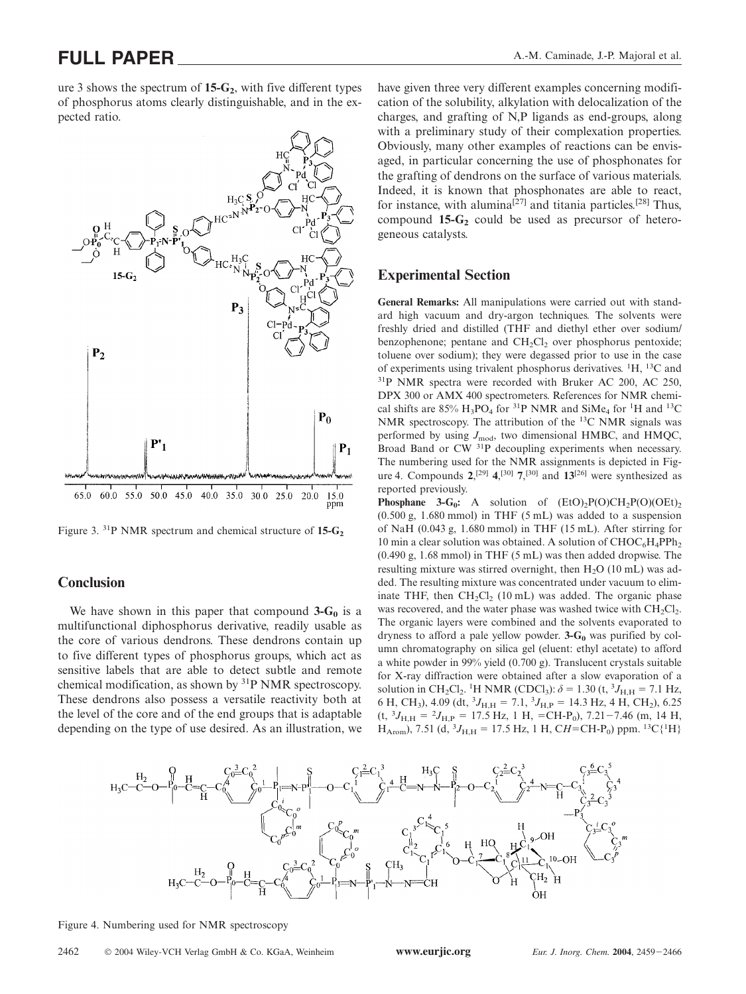ure 3 shows the spectrum of  $15-G_2$ , with five different types of phosphorus atoms clearly distinguishable, and in the expected ratio.



Figure 3. <sup>31</sup>P NMR spectrum and chemical structure of 15-G<sub>2</sub>

#### **Conclusion**

We have shown in this paper that compound  $3-G_0$  is a multifunctional diphosphorus derivative, readily usable as the core of various dendrons. These dendrons contain up to five different types of phosphorus groups, which act as sensitive labels that are able to detect subtle and remote chemical modification, as shown by 31P NMR spectroscopy. These dendrons also possess a versatile reactivity both at the level of the core and of the end groups that is adaptable depending on the type of use desired. As an illustration, we

have given three very different examples concerning modification of the solubility, alkylation with delocalization of the charges, and grafting of N,P ligands as end-groups, along with a preliminary study of their complexation properties. Obviously, many other examples of reactions can be envisaged, in particular concerning the use of phosphonates for the grafting of dendrons on the surface of various materials. Indeed, it is known that phosphonates are able to react, for instance, with alumina<sup>[27]</sup> and titania particles.<sup>[28]</sup> Thus, compound  $15-G_2$  could be used as precursor of heterogeneous catalysts.

#### **Experimental Section**

**General Remarks:** All manipulations were carried out with standard high vacuum and dry-argon techniques. The solvents were freshly dried and distilled (THF and diethyl ether over sodium/ benzophenone; pentane and  $CH<sub>2</sub>Cl<sub>2</sub>$  over phosphorus pentoxide; toluene over sodium); they were degassed prior to use in the case of experiments using trivalent phosphorus derivatives. <sup>1</sup>H, <sup>13</sup>C and 31P NMR spectra were recorded with Bruker AC 200, AC 250, DPX 300 or AMX 400 spectrometers. References for NMR chemical shifts are 85%  $H_3PO_4$  for <sup>31</sup>P NMR and SiMe<sub>4</sub> for <sup>1</sup>H and <sup>13</sup>C NMR spectroscopy. The attribution of the 13C NMR signals was performed by using  $J_{\text{mod}}$ , two dimensional HMBC, and HMQC, Broad Band or CW 31P decoupling experiments when necessary. The numbering used for the NMR assignments is depicted in Figure 4. Compounds  $2,^{[29]}$   $4,^{[30]}$   $7,^{[30]}$  and  $13^{[26]}$  were synthesized as reported previously.

**Phosphane 3-G<sub>0</sub>:** A solution of  $(EtO)_2P(O)CH_2P(O)(OEt)$ <sub>2</sub> (0.500 g, 1.680 mmol) in THF (5 mL) was added to a suspension of NaH (0.043 g, 1.680 mmol) in THF (15 mL). After stirring for 10 min a clear solution was obtained. A solution of  $CHOC<sub>6</sub>H<sub>4</sub>PPh<sub>2</sub>$ (0.490 g, 1.68 mmol) in THF (5 mL) was then added dropwise. The resulting mixture was stirred overnight, then  $H_2O$  (10 mL) was added. The resulting mixture was concentrated under vacuum to eliminate THF, then  $CH_2Cl_2$  (10 mL) was added. The organic phase was recovered, and the water phase was washed twice with  $CH<sub>2</sub>Cl<sub>2</sub>$ . The organic layers were combined and the solvents evaporated to dryness to afford a pale yellow powder.  $3 - G_0$  was purified by column chromatography on silica gel (eluent: ethyl acetate) to afford a white powder in 99% yield (0.700 g). Translucent crystals suitable for X-ray diffraction were obtained after a slow evaporation of a solution in CH<sub>2</sub>Cl<sub>2</sub>. <sup>1</sup>H NMR (CDCl<sub>3</sub>):  $\delta = 1.30$  (t, <sup>3</sup>J<sub>H,H</sub> = 7.1 Hz, 6 H, CH<sub>3</sub>), 4.09 (dt,  ${}^{3}J_{\text{H,H}} = 7.1, {}^{3}J_{\text{H,P}} = 14.3 \text{ Hz}, 4 \text{ H}, \text{CH}_2$ ), 6.25  $(t, {}^{3}J_{H,H} = {}^{2}J_{H,P} = 17.5$  Hz, 1 H, =CH-P<sub>0</sub>), 7.21-7.46 (m, 14 H,  $H_{\text{Arom}}$ ), 7.51 (d,  ${}^{3}J_{\text{H,H}}$  = 17.5 Hz, 1 H, C*H*=CH-P<sub>0</sub>) ppm. <sup>13</sup>C{<sup>1</sup>H}



Figure 4. Numbering used for NMR spectroscopy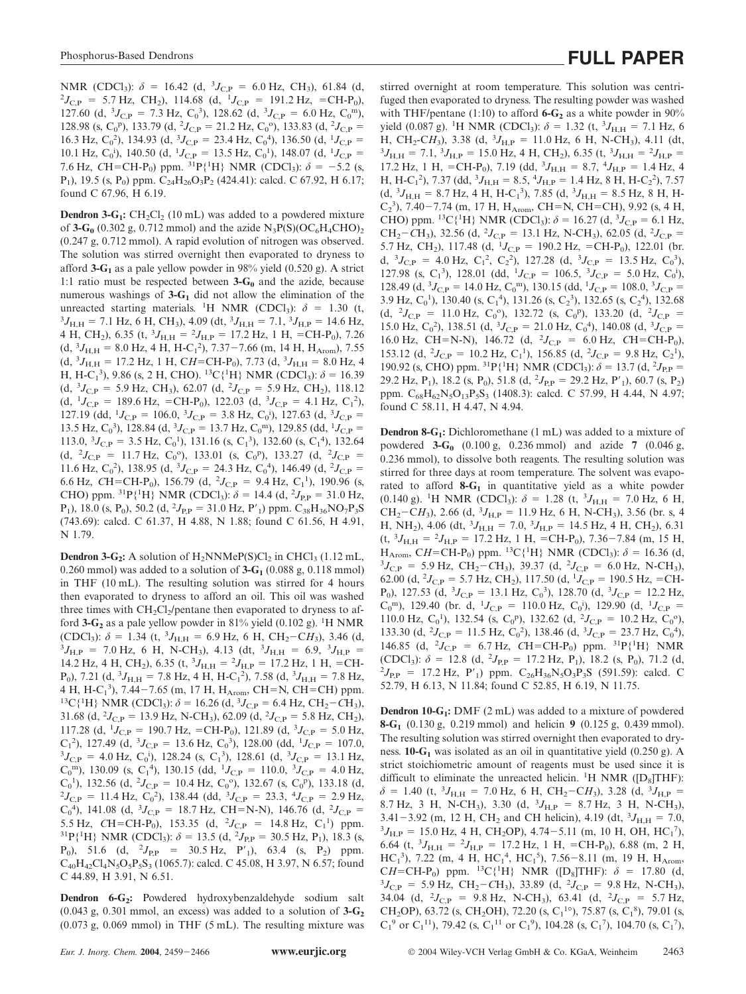NMR (CDCl<sub>3</sub>):  $\delta = 16.42$  (d, <sup>3</sup>*J*<sub>C,P</sub> = 6.0 Hz, CH<sub>3</sub>), 61.84 (d, <sup>2</sup>*I*<sub>C,P</sub> = 5.7 Hz, CH<sub>3</sub>), 114.68 (d, <sup>1</sup>*I*<sub>C,P</sub> = 191.2 Hz, =CH<sub>2</sub>P<sub>3</sub>)  $J_{\text{C,P}}$  = 5.7 Hz, CH<sub>2</sub>), 114.68 (d, <sup>1</sup> $J_{\text{C,P}}$  = 191.2 Hz, =CH-P<sub>0</sub>), 127.60 (d,  ${}^{3}J_{C,P}$  = 7.3 Hz, C<sub>0</sub><sup>3</sup>), 128.62 (d,  ${}^{3}J_{C,P}$  = 6.0 Hz, C<sub>0</sub><sup>m</sup>), 128.98 (s, C<sub>0</sub><sup>p</sup>), 133.79 (d, <sup>2</sup>J<sub>C,P</sub> = 21.2 Hz, C<sub>0</sub><sup>o</sup>), 133.83 (d, <sup>2</sup>J<sub>C,P</sub> = 16.3 Hz,  $C_0^2$ ), 134.93 (d,  ${}^3J_{C,P} = 23.4$  Hz,  $C_0^4$ ), 136.50 (d,  ${}^1J_{C,P} =$ 10.1 Hz,  $C_0$ <sup>i</sup>), 140.50 (d, <sup>1</sup>J<sub>C,P</sub> = 13.5 Hz,  $C_0$ <sup>1</sup>), 148.07 (d, <sup>1</sup>J<sub>C,P</sub> = 7.6 Hz, *C*H=CH-P<sub>0</sub>) ppm. <sup>31</sup>P{<sup>1</sup>H} NMR (CDCl<sub>3</sub>):  $\delta$  = -5.2 (s, P<sub>1</sub>), 19.5 (s, P<sub>0</sub>) ppm.  $C_{24}H_{26}O_3P_2$  (424.41): calcd. C 67.92, H 6.17; found C 67.96, H 6.19.

**Dendron 3-G<sub>1</sub>:** CH<sub>2</sub>Cl<sub>2</sub> (10 mL) was added to a powdered mixture of  $3-G<sub>0</sub>$  (0.302 g, 0.712 mmol) and the azide  $N<sub>3</sub>P(S)(OC<sub>6</sub>H<sub>4</sub>CHO)_{2}$ (0.247 g, 0.712 mmol). A rapid evolution of nitrogen was observed. The solution was stirred overnight then evaporated to dryness to afford **3-G<sub>1</sub>** as a pale yellow powder in 98% yield  $(0.520 \text{ g})$ . A strict 1:1 ratio must be respected between **3-G0** and the azide, because numerous washings of **3-G1** did not allow the elimination of the unreacted starting materials. <sup>1</sup>H NMR (CDCl<sub>3</sub>):  $\delta = 1.30$  (t,  $\delta_{1.3} = 71$  Hz 6 H CH<sub>3</sub>)  $4.09$  (dt  $\delta_{1.3} = 71$   $\delta_{1.3} = 14.6$  Hz  $J_{\text{H,H}} = 7.1 \text{ Hz}, 6 \text{ H}, \text{CH}_3$ , 4.09 (dt,  ${}^3 J_{\text{H,H}} = 7.1, {}^3 J_{\text{H,P}} = 14.6 \text{ Hz}$ , 4 H, CH<sub>2</sub>), 6.35 (t,  ${}^{3}J_{\text{H,H}} = {}^{2}J_{\text{H,P}} = 17.2 \text{ Hz}, 1 \text{ H}, \text{ } = \text{CH-P}_0$ ), 7.26  $(d, {}^{3}J_{H,H} = 8.0 \text{ Hz}, 4 \text{ H}, \text{H-}C_{1}^{2}), 7.37-7.66 \text{ (m, 14 H}, \text{H}_{Arom}), 7.55$  $(d, {}^{3}J_{H,H} = 17.2 \text{ Hz}, 1 \text{ H}, CH=CH-P_0), 7.73 (d, {}^{3}J_{H,H} = 8.0 \text{ Hz}, 4$ H, H-C<sub>1</sub><sup>3</sup>), 9.86 (s, 2 H, CHO). <sup>13</sup>C{<sup>1</sup>H} NMR (CDCl<sub>3</sub>):  $\delta$  = 16.39  $(d, {}^{3}J_{C,P} = 5.9 \text{ Hz}, \text{ CH}_3), 62.07 (d, {}^{2}J_{C,P} = 5.9 \text{ Hz}, \text{ CH}_2), 118.12$  $(d, {}^{1}J_{C,P} = 189.6 \text{ Hz}, = \text{CH-P}_0), 122.03 (d, {}^{3}J_{C,P} = 4.1 \text{ Hz}, C_1^2),$ 127.19 (dd, <sup>1</sup> $J_{C,P} = 106.0$ , <sup>3</sup> $J_{C,P} = 3.8$  Hz, C<sub>0</sub><sup>i</sup>), 127.63 (d, <sup>3</sup> $J_{C,P} =$ 13.5 Hz,  $C_0^3$ ), 128.84 (d,  ${}^3J_{C,P} = 13.7$  Hz,  $C_0^m$ ), 129.85 (dd,  ${}^1J_{C,P} =$ 113.0,  ${}^{3}J_{\text{C,P}} = 3.5$  Hz,  $C_0^1$ ), 131.16 (s,  $C_1^3$ ), 132.60 (s,  $C_1^4$ ), 132.64  $(d, {}^{2}J_{C,P} = 11.7 \text{ Hz}, C_0^{\circ 0}), 133.01 \text{ (s, } C_0^{\circ p}), 133.27 \text{ (d, } {}^{2}J_{C,P} =$ 11.6 Hz,  $C_0^2$ ), 138.95 (d,  ${}^3J_{C,P} = 24.3$  Hz,  $C_0^4$ ), 146.49 (d,  ${}^2J_{C,P} =$ 6.6 Hz, CH=CH-P<sub>0</sub>), 156.79 (d, <sup>2</sup>J<sub>C,P</sub> = 9.4 Hz, C<sub>1</sub><sup>1</sup>), 190.96 (s, CHO) ppm. <sup>31</sup>P{<sup>1</sup>H} NMR (CDCl<sub>3</sub>):  $\delta = 14.4$  (d, <sup>2</sup>J<sub>P,P</sub> = 31.0 Hz,  $P_1$ ), 18.0 (s,  $P_0$ ), 50.2 (d, <sup>2</sup> $J_{P,P}$  = 31.0 Hz,  $P'_1$ ) ppm.  $C_{38}H_{36}NO_7P_3S$ (743.69): calcd. C 61.37, H 4.88, N 1.88; found C 61.56, H 4.91, N 1.79.

**Dendron 3-G<sub>2</sub>:** A solution of  $H_2NNMep(S)Cl_2$  in CHCl<sub>3</sub> (1.12 mL, 0.260 mmol) was added to a solution of  $3-G_1$  (0.088 g, 0.118 mmol) in THF (10 mL). The resulting solution was stirred for 4 hours then evaporated to dryness to afford an oil. This oil was washed three times with  $CH_2Cl_2$ /pentane then evaporated to dryness to afford  $3-\text{G}_2$  as a pale yellow powder in 81% yield (0.102 g). <sup>1</sup>H NMR (CDCl<sub>3</sub>):  $\delta = 1.34$  (t, <sup>3</sup>*J*<sub>H,H</sub> = 6.9 Hz, 6 H, CH<sub>2</sub>-C*H*<sub>3</sub>), 3.46 (d, 3*I*<sub>M</sub>, = 7.0 Hz, 6 H, N<sub>2</sub>CH<sub>2</sub>), 4.13 (dt, 3*I*<sub>M</sub>, = 6.9. 3*I*<sub>M</sub>, =  $J_{\text{H,P}}$  = 7.0 Hz, 6 H, N-CH<sub>3</sub>), 4.13 (dt, <sup>3</sup> $J_{\text{H,H}}$  = 6.9, <sup>3</sup> $J_{\text{H,P}}$  = 14.2 Hz, 4 H, CH<sub>2</sub>), 6.35 (t,  ${}^{3}J_{\text{H,H}} = {}^{2}J_{\text{H,P}} = 17.2$  Hz, 1 H, =CH-P<sub>0</sub>), 7.21 (d,  ${}^{3}J_{\text{H,H}}$  = 7.8 Hz, 4 H, H-C<sub>1</sub><sup>2</sup>), 7.58 (d,  ${}^{3}J_{\text{H,H}}$  = 7.8 Hz, 4 H,  $H - C_1^3$ ), 7.44-4 H, H-C<sub>1</sub><sup>3</sup>), 7.44–7.65 (m, 17 H, H<sub>Arom</sub>, CH=N, CH=CH) ppm.<br><sup>13</sup>C{<sup>1</sup>H} NMR (CDCl<sub>3</sub>):  $\delta$  = 16.26 (d, <sup>3</sup>J<sub>C,P</sub> = 6.4 Hz, CH<sub>2</sub>–CH<sub>3</sub>), 31.68 (d, <sup>2</sup> $J_{C,P}$  = 13.9 Hz, N-CH<sub>3</sub>), 62.09 (d, <sup>2</sup> $J_{C,P}$  = 5.8 Hz, CH<sub>2</sub>), 117.28 (d,  $^{1}J_{C,P} = 190.7$  Hz, =CH-P<sub>0</sub>), 121.89 (d,  $^{3}J_{C,P} = 5.0$  Hz,  $C_1^2$ ), 127.49 (d, <sup>3</sup> $J_{C,P} = 13.6$  Hz,  $C_0^3$ ), 128.00 (dd, <sup>1</sup> $J_{C,P} = 107.0$ ,  $3I_{C,P} = 4.0$  Hz,  $C_0^3$ ), 128.24 (s,  $C_0^3$ ), 128.61 (d, <sup>3</sup> $I_{C,P} = 13.1$  Hz  $J_{\text{C,P}} = 4.0 \text{ Hz}, \text{ C}_0^{\text{i}}$ ), 128.24 (s, C<sub>1</sub><sup>3</sup>), 128.61 (d, <sup>3</sup> $J_{\text{C,P}} = 13.1 \text{ Hz}$ ,  $C_0^{\text{m}}$ , 130.09 (s,  $C_1^{\text{4}}$ ), 130.15 (dd, <sup>1</sup> $J_{\text{C,P}} = 110.0$ , <sup>3</sup> $J_{\text{C,P}} = 4.0$  Hz,  $C_0$ <sup>1</sup>), 132.56 (d, <sup>2</sup> $J_{C,P}$  = 10.4 Hz,  $C_0$ <sup>o</sup>), 132.67 (s,  $C_0$ <sup>p</sup>), 133.18 (d,  ${}^{2}J_{\text{C,P}} = 11.4 \text{ Hz}, \text{ C}_0^2$ , 138.44 (dd,  ${}^{3}J_{\text{C,P}} = 23.3, \text{ }^{4}J_{\text{C,P}} = 2.9 \text{ Hz},$  $C_0^4$ ), 141.08 (d, <sup>3</sup> $J_{C,P}$  = 18.7 Hz, CH=N-N), 146.76 (d, <sup>2</sup> $J_{C,P}$  = 5.5 Hz, CH=CH-P<sub>0</sub>), 153.35 (d,  $^2J_{C,P}$  = 14.8 Hz, C<sub>1</sub><sup>1</sup>) ppm.  ${}^{31}P{^1H}$  NMR (CDCl<sub>3</sub>):  $\delta = 13.5$  (d,  ${}^{2}J_{P,P} = 30.5$  Hz, P<sub>1</sub>), 18.3 (s,  $P_0$ ), 51.6 (d, <sup>2</sup> $J_{P,P}$  = 30.5 Hz, P'<sub>1</sub>), 63.4 (s, P<sub>2</sub>) ppm.  $C_{40}H_{42}Cl_{4}N_{5}O_{5}P_{5}S_{3}$  (1065.7): calcd. C 45.08, H 3.97, N 6.57; found C 44.89, H 3.91, N 6.51.

Dendron 6-G<sub>2</sub>: Powdered hydroxybenzaldehyde sodium salt  $(0.043 \text{ g}, 0.301 \text{ mmol}, \text{an excess})$  was added to a solution of  $3-\text{G}_2$  $(0.073 \text{ g}, 0.069 \text{ mmol})$  in THF  $(5 \text{ mL})$ . The resulting mixture was stirred overnight at room temperature. This solution was centrifuged then evaporated to dryness. The resulting powder was washed with THF/pentane (1:10) to afford  $6-\mathrm{G}_2$  as a white powder in 90% yield (0.087 g). <sup>1</sup>H NMR (CDCl<sub>3</sub>):  $\delta = 1.32$  (t, <sup>3</sup>J<sub>H,H</sub> = 7.1 Hz, 6 H, CH<sub>2</sub>-CH<sub>3</sub>), 3.38 (d, <sup>3</sup>J<sub>H,P</sub> = 11.0 Hz, 6 H, N-CH<sub>3</sub>), 4.11 (dt,  $3I_{\text{H}} = 71.3I_{\text{H}} = 15.0 \text{ Hz}$  4 H CH<sub>2</sub>) 6.35 (t,  $3I_{\text{H}} = 2I_{\text{H}} =$  $J_{\text{H,H}} = 7.1, \,^{3}J_{\text{H,P}} = 15.0 \text{ Hz}, 4 \text{ H}, \text{ CH}_2$ ), 6.35 (t,  $^{3}J_{\text{H,H}} = ^{2}J_{\text{H,P}} =$ 17.2 Hz, 1 H, = CH-P<sub>0</sub>), 7.19 (dd, <sup>3</sup> $J_{\text{H,H}}$  = 8.7, <sup>4</sup> $J_{\text{H,P}}$  = 1.4 Hz, 4 H, H-C<sub>1</sub><sup>2</sup>), 7.37 (dd, <sup>3</sup> $J_{\text{H,H}}$  = 8.5, <sup>4</sup> $J_{\text{H,P}}$  = 1.4 Hz, 8 H, H-C<sub>2</sub><sup>2</sup>), 7.57  $(d, {}^{3}J_{H,H} = 8.7 \text{ Hz}, 4 \text{ H}, \text{H} \text{-C}_1 {}^{3}), 7.85 (d, {}^{3}J_{H,H} = 8.5 \text{ Hz}, 8 \text{ H}, \text{H} \text{-}$  $C_2$ <sup>3</sup>), 7.40–7.74 (m, 17 H, H<sub>Arom</sub>, CH=N, CH=CH), 9.92 (s, 4 H, CHO) ppm. <sup>13</sup>C{<sup>1</sup>H} NMR (CDCl<sub>3</sub>):  $\delta = 16.27$  (d, <sup>3</sup>J<sub>C,P</sub> = 6.1 Hz,  $CH_2-CH_3$ ), 32.56 (d, <sup>2</sup> $J_{C,P}$  = 13.1 Hz, N-CH<sub>3</sub>), 62.05 (d, <sup>2</sup> $J_{C,P}$  = 5.7 Hz, CH<sub>2</sub>), 117.48 (d, <sup>1</sup>J<sub>C,P</sub> = 190.2 Hz, =CH-P<sub>0</sub>), 122.01 (br. d,  ${}^{3}J_{\text{C,P}} = 4.0 \text{ Hz}, \text{ C}_1^2, \text{ C}_2^2$ , 127.28 (d,  ${}^{3}J_{\text{C,P}} = 13.5 \text{ Hz}, \text{ C}_0^3$ ), 127.98 (s, C<sub>1</sub><sup>3</sup>), 128.01 (dd, <sup>1</sup> $J_{C,P} = 106.5$ , <sup>3</sup> $J_{C,P} = 5.0$  Hz, C<sub>0</sub><sup>i</sup>), 128.49 (d,  ${}^{3}J_{C,P} = 14.0$  Hz,  $C_0^m$ ), 130.15 (dd,  ${}^{1}J_{C,P} = 108.0$ ,  ${}^{3}J_{C,P} =$  $3.9$  Hz,  $C_0^1$ ), 130.40 (s,  $C_1^4$ ), 131.26 (s,  $C_2^3$ ), 132.65 (s,  $C_2^4$ ), 132.68  $(d, {}^{2}J_{C,P} = 11.0 \text{ Hz}, C_0^{\circ 0}), 132.72 \text{ (s, } C_0^{\circ p}), 133.20 \text{ (d, } {}^{2}J_{C,P} =$ 15.0 Hz,  $C_0^2$ ), 138.51 (d,  ${}^3J_{C,P} = 21.0$  Hz,  $C_0^4$ ), 140.08 (d,  ${}^3J_{C,P} =$ 16.0 Hz, CH=N-N), 146.72 (d,  ${}^{2}J_{C,P}$  = 6.0 Hz, CH=CH-P<sub>0</sub>), 153.12 (d,  ${}^{2}J_{C,P} = 10.2$  Hz,  $C_1^1$ ), 156.85 (d,  ${}^{2}J_{C,P} = 9.8$  Hz,  $C_2^1$ ), 190.92 (s, CHO) ppm. <sup>31</sup>P{<sup>1</sup>H} NMR (CDCl<sub>3</sub>):  $\delta = 13.7$  (d, <sup>2</sup>J<sub>P,P</sub> = 29.2 Hz, P<sub>1</sub>), 18.2 (s, P<sub>0</sub>), 51.8 (d, <sup>2</sup>J<sub>P,P</sub> = 29.2 Hz, P'<sub>1</sub>), 60.7 (s, P<sub>2</sub>) ppm.  $C_{68}H_{62}N_5O_{13}P_5S_3$  (1408.3): calcd. C 57.99, H 4.44, N 4.97; found C 58.11, H 4.47, N 4.94.

**Dendron 8-G1:** Dichloromethane (1 mL) was added to a mixture of powdered **3-G0** (0.100 g, 0.236 mmol) and azide **7** (0.046 g, 0.236 mmol), to dissolve both reagents. The resulting solution was stirred for three days at room temperature. The solvent was evaporated to afford  $8-G_1$  in quantitative yield as a white powder  $(0.140 \text{ g})$ . <sup>1</sup>H NMR (CDCl<sub>3</sub>):  $\delta = 1.28$  (t, <sup>3</sup>J<sub>H,H</sub> = 7.0 Hz, 6 H,  $CH_2-CH_3$ ), 2.66 (d, <sup>3</sup> $J_{\text{H,P}}$  = 11.9 Hz, 6 H, N-CH<sub>3</sub>), 3.56 (br. s, 4 H, NH<sub>2</sub>), 4.06 (dt,  ${}^{3}J_{\text{H,H}} = 7.0, {}^{3}J_{\text{H,P}} = 14.5$  Hz, 4 H, CH<sub>2</sub>), 6.31  $(t, {}^{3}J_{H,H} = {}^{2}J_{H,P} = 17.2$  Hz, 1 H, =CH-P<sub>0</sub>), 7.36-7.84 (m, 15 H,  $H_{Arom}$ , *CH*=*CH*-P<sub>0</sub>) ppm. <sup>13</sup>C{<sup>1</sup>H} NMR (CDCl<sub>3</sub>): *δ* = 16.36 (d, 3<sub>Lep</sub> = 5.9 Hz CH<sub>2</sub>) (d, 3.37 (d, <sup>2</sup>L<sub>ep</sub> = 6.0 Hz N<sub>→</sub>CH<sub>2</sub>)  $J_{\text{C,P}} = 5.9 \text{ Hz}, \text{ CH}_2\text{--CH}_3$ , 39.37 (d, <sup>2</sup> $J_{\text{C,P}} = 6.0 \text{ Hz}, \text{ N--CH}_3$ ), 62.00 (d, <sup>2</sup> $J_{C,P}$  = 5.7 Hz, CH<sub>2</sub>), 117.50 (d, <sup>1</sup> $J_{C,P}$  = 190.5 Hz, = CH-P<sub>0</sub>), 127.53 (d,  ${}^{3}J_{C,P} = 13.1$  Hz,  $C_0{}^{3}$ ), 128.70 (d,  ${}^{3}J_{C,P} = 12.2$  Hz,  $C_0^{\text{m}}$ ), 129.40 (br. d, <sup>1</sup>J<sub>C,P</sub> = 110.0 Hz,  $C_0^{\text{i}}$ ), 129.90 (d, <sup>1</sup>J<sub>C,P</sub> = 110.0 Hz,  $C_0^1$ ), 132.54 (s,  $C_0^p$ ), 132.62 (d,  $^2J_{C,P} = 10.2$  Hz,  $C_0^o$ ), 133.30 (d, <sup>2</sup> $J_{C,P} = 11.5$  Hz,  $C_0^2$ ), 138.46 (d, <sup>3</sup> $J_{C,P} = 23.7$  Hz,  $C_0^4$ ), 146.85 (d,  ${}^{2}J_{C,P}$  = 6.7 Hz, CH=CH-P<sub>0</sub>) ppm. <sup>31</sup>P{<sup>1</sup>H} NMR (CDCl<sub>3</sub>):  $\delta = 12.8$  (d, <sup>2</sup>*J*<sub>P,P</sub> = 17.2 Hz, P<sub>1</sub>), 18.2 (s, P<sub>0</sub>), 71.2 (d, <sup>2</sup>*L*<sub>P</sub> = 17.2 Hz, P'.) ppm C<sub>2</sub>·H<sub>2</sub>·N<sub>2</sub>O<sub>2</sub>·R<sub>2</sub>s (591.59); calcd C  ${}^{2}J_{\rm PP}$  = 17.2 Hz, P'<sub>1</sub>) ppm. C<sub>26</sub>H<sub>36</sub>N<sub>5</sub>O<sub>3</sub>P<sub>3</sub>S (591.59): calcd. C 52.79, H 6.13, N 11.84; found C 52.85, H 6.19, N 11.75.

**Dendron 10-G<sub>1</sub>:** DMF (2 mL) was added to a mixture of powdered **8-G1** (0.130 g, 0.219 mmol) and helicin **9** (0.125 g, 0.439 mmol). The resulting solution was stirred overnight then evaporated to dryness.  $10-G_1$  was isolated as an oil in quantitative yield  $(0.250 \text{ g})$ . A strict stoichiometric amount of reagents must be used since it is difficult to eliminate the unreacted helicin. <sup>1</sup>H NMR ([D<sub>8</sub>]THF):  $\delta$  = 1.40 (t, <sup>3</sup>*J*<sub>H,H</sub> = 7.0 Hz, 6 H, CH<sub>2</sub>-CH<sub>3</sub>), 3.28 (d, <sup>3</sup>*J*<sub>H,P</sub> = 8.7 Hz, 3 H, N-CH<sub>3</sub>), 3.30 (d,  ${}^{3}J_{H,P} = 8.7$  Hz, 3 H, N-CH<sub>3</sub>),  $3.41 - 3.92$  (m, 12 H, CH<sub>2</sub> and CH helicin), 4.19 (dt,  $3I_{\text{H,H}} = 7.0$ ,  $3I_{\text{H,B}} = 15.0$  Hz, 4 H, CH<sub>2</sub>OP), 4.74–5.11 (m, 10 H, OH, HC<sup>T</sup>)  $J_{\text{H,P}} = 15.0 \text{ Hz}, 4 \text{ H}, \text{ CH}_2\text{OP}$ ),  $4.74 - 5.11 \text{ (m, 10 H, OH, HC}_1^{\text{7}})$ , 6.64 (t,  ${}^{3}J_{\text{H,H}} = {}^{2}J_{\text{H,P}} = 17.2 \text{ Hz}, 1 \text{ H}, = \text{CH-P}_0$ ), 6.88 (m, 2 H,  $HC_1^3$ ), 7.22 (m, 4 H,  $HC_1^4$ ,  $HC_1^5$ ), 7.56-8.11 (m, 19 H,  $H_{Arom}$ ,  $CH=CH-P_0$ ) ppm. <sup>13</sup>C{<sup>1</sup>H} NMR ([D<sub>8</sub>]THF):  $\delta = 17.80$  (d,  $\delta$ <sup>3</sup>L<sub>OB</sub> = 5.9 Hz CH<sub>2</sub>) 33.89 (d, <sup>2</sup>L<sub>OB</sub> = 9.8 Hz N<sub>-C</sub>H<sub>2</sub>)  $J_{\text{C,P}} = 5.9 \text{ Hz}, \text{ CH}_2-\text{CH}_3$ , 33.89 (d,  $^2J_{\text{C,P}} = 9.8 \text{ Hz}, \text{ N-CH}_3$ ), 34.04 (d,  ${}^{2}J_{C,P}$  = 9.8 Hz, N-CH<sub>3</sub>), 63.41 (d,  ${}^{2}J_{C,P}$  = 5.7 Hz, CH<sub>2</sub>OP), 63.72 (s, CH<sub>2</sub>OH), 72.20 (s, C<sub>1</sub><sup>1</sup>°), 75.87 (s, C<sub>1</sub><sup>8</sup>), 79.01 (s,  $C_1^9$  or  $C_1^{11}$ ), 79.42 (s,  $C_1^{11}$  or  $C_1^9$ ), 104.28 (s,  $C_1^7$ ), 104.70 (s,  $C_1^7$ ),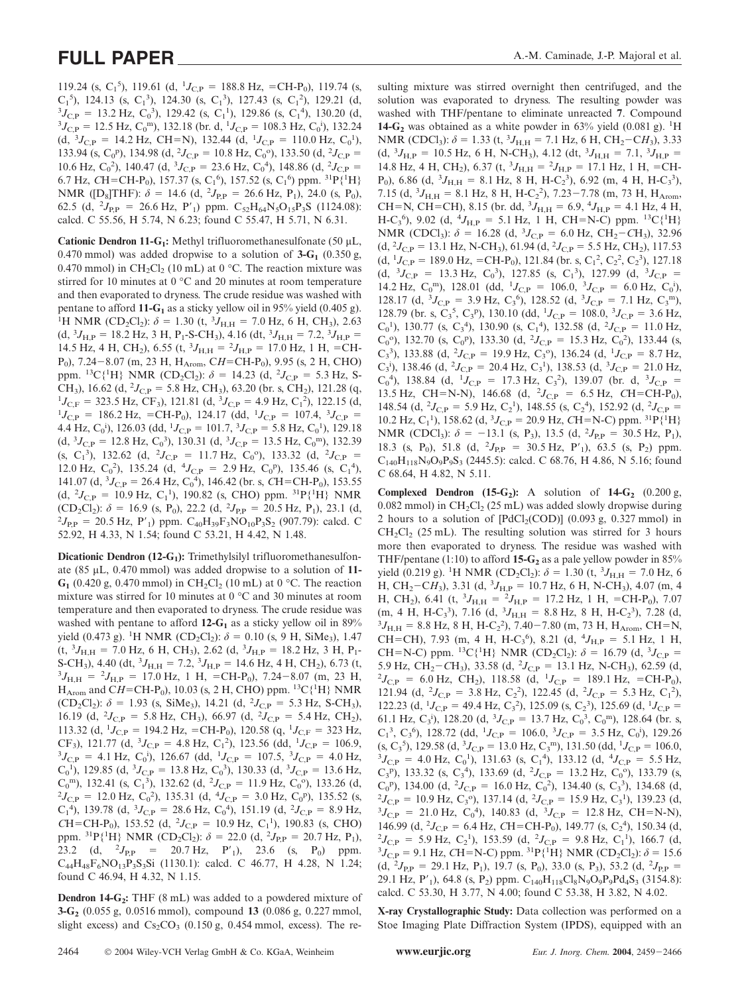119.24 (s, C<sub>1</sub><sup>5</sup>), 119.61 (d, <sup>1</sup>J<sub>C,P</sub> = 188.8 Hz, =CH-P<sub>0</sub>), 119.74 (s,  $C_1^5$ ), 124.13 (s,  $C_1^3$ ), 124.30 (s,  $C_1^3$ ), 127.43 (s,  $C_1^2$ ), 129.21 (d,  ${}^{3}J_{\text{C,P}} = 13.2 \text{ Hz}, \text{ C}_0{}^{3}$ , 129.42 (s, C<sub>1</sub><sup>1</sup>), 129.86 (s, C<sub>1</sub><sup>4</sup>), 130.20 (d,  ${}^{3}J_{\text{C,P}} = 12.5 \text{ Hz}, \text{C}_0^{\text{m}}$ , 132.18 (br. d,  ${}^{1}J_{\text{C,P}} = 108.3 \text{ Hz}, \text{C}_0^{\text{i}}$ ), 132.24  $(d, {}^{3}J_{C,P} = 14.2 \text{ Hz}, \text{ CH=N}), 132.44 (d, {}^{1}J_{C,P} = 110.0 \text{ Hz}, C_0^{1}),$ 133.94 (s, C<sub>0</sub><sup>p</sup>), 134.98 (d, <sup>2</sup>J<sub>C,P</sub> = 10.8 Hz, C<sub>0</sub><sup>o</sup>), 133.50 (d, <sup>2</sup>J<sub>C,P</sub> = 10.6 Hz,  $C_0^2$ ), 140.47 (d,  ${}^3J_{C,P} = 23.6$  Hz,  $C_0^4$ ), 148.86 (d,  ${}^2J_{C,P} =$ 6.7 Hz, CH=CH-P<sub>0</sub>), 157.37 (s, C<sub>1</sub><sup>6</sup>), 157.52 (s, C<sub>1</sub><sup>6</sup>) ppm. <sup>31</sup>P{<sup>1</sup>H} NMR ( $[D_8]THF$ ):  $\delta = 14.6$  (d,  $^2J_{P,P} = 26.6$  Hz, P<sub>1</sub>), 24.0 (s, P<sub>0</sub>), 62.5 (d, <sup>2</sup> $J_{\text{P,P}}$  = 26.6 Hz, P'<sub>1</sub>) ppm. C<sub>52</sub>H<sub>64</sub>N<sub>5</sub>O<sub>15</sub>P<sub>3</sub>S (1124.08): calcd. C 55.56, H 5.74, N 6.23; found C 55.47, H 5.71, N 6.31.

Cationic Dendron 11-G<sub>1</sub>: Methyl trifluoromethanesulfonate (50 µL, 0.470 mmol) was added dropwise to a solution of  $3-G_1$  (0.350 g, 0.470 mmol) in CH<sub>2</sub>Cl<sub>2</sub> (10 mL) at 0 °C. The reaction mixture was stirred for 10 minutes at 0 °C and 20 minutes at room temperature and then evaporated to dryness. The crude residue was washed with pentane to afford  $11-G<sub>1</sub>$  as a sticky yellow oil in 95% yield (0.405 g). H NMR (CD<sub>2</sub>Cl<sub>2</sub>):  $\delta = 1.30$  (t, <sup>3</sup>J<sub>H,H</sub> = 7.0 Hz, 6 H, CH<sub>3</sub>), 2.63  $(d, {}^{3}J_{\text{H,P}} = 18.2 \text{ Hz}, 3 \text{ H}, P_{1} \text{-S-CH}_{3}), 4.16 (dt, {}^{3}J_{\text{H,H}} = 7.2, {}^{3}J_{\text{H,P}} =$ 14.5 Hz, 4 H, CH<sub>2</sub>), 6.55 (t,  ${}^{3}J_{\text{H,H}} = {}^{2}J_{\text{H,P}} = 17.0$  Hz, 1 H, =CH-P<sub>0</sub>), 7.24–8.07 (m, 23 H, H<sub>Arom</sub>, CH=CH-P<sub>0</sub>), 9.95 (s, 2 H, CHO) ppm. <sup>13</sup>C{<sup>1</sup>H} NMR (CD<sub>2</sub>Cl<sub>2</sub>):  $\delta = 14.23$  (d, <sup>2</sup>J<sub>C,P</sub> = 5.3 Hz, S-CH<sub>3</sub>), 16.62 (d, <sup>2</sup>J<sub>C,P</sub> = 5.8 Hz, CH<sub>3</sub>), 63.20 (br. s, CH<sub>2</sub>), 121.28 (q, <sup>1</sup>J<sub>C,P</sub> = 323.5 Hz, CE<sub>2</sub>), 121.81 (d) <sup>3</sup>J<sub>C,P</sub> = 4.9 Hz, C<sup>2</sup>), 122.15 (d)  $J_{\text{C,F}} = 323.5 \text{ Hz}, \text{CF}_3$ ), 121.81 (d,  ${}^3J_{\text{C,P}} = 4.9 \text{ Hz}, \text{C}_1{}^2$ ), 122.15 (d,  $^{1}J_{C,P}$  = 186.2 Hz, =CH-P<sub>0</sub>), 124.17 (dd, <sup>1</sup> $J_{C,P}$  = 107.4, <sup>3</sup> $J_{C,P}$  = 4.4 Hz,  $C_0^i$ , 126.03 (dd, <sup>1</sup>J<sub>C,P</sub> = 101.7, <sup>3</sup>J<sub>C,P</sub> = 5.8 Hz,  $C_0^1$ ), 129.18  $(d, {}^{3}J_{C,P} = 12.8 \text{ Hz}, C_0^{3}), 130.31 (d, {}^{3}J_{C,P} = 13.5 \text{ Hz}, C_0^{m}), 132.39$ (s, C<sub>1</sub><sup>3</sup>), 132.62 (d, <sup>2</sup>*J*<sub>C,P</sub> = 11.7 Hz, C<sub>0</sub><sup>o</sup>), 133.32 (d, <sup>2</sup>*J*<sub>C,P</sub> = 12.0 Hz, C<sub>0</sub><sup>2</sup>), 135.24 (d, <sup>4</sup>J<sub>C,P</sub> = 2.9 Hz, C<sub>0</sub><sup>p</sup>), 135.46 (s, C<sub>1</sub><sup>4</sup>), 141.07 (d,  ${}^{3}J_{C,P} = 26.4$  Hz,  $C_0^4$ ), 146.42 (br. s, CH=CH-P<sub>0</sub>), 153.55  $(d, {}^{2}J_{C,P} = 10.9 \text{ Hz}, C_1^{1}), 190.82 \text{ (s, CHO) ppm. } {}^{31}P\{{}^{1}H\} \text{ NMR}$  $(CD_2Cl_2)$ :  $\delta = 16.9$  (s, P<sub>0</sub>), 22.2 (d, <sup>2</sup> $J_{PR} = 20.5$  Hz, P<sub>1</sub>), 23.1 (d, <sup>2</sup> $J_{PR} = 20.5$  Hz, P'.) ppm  $C_{12}H_{23}F_2NQ_{12}P_2S_2$  (907.79); calcd C  ${}^{2}J_{\rm P,P}$  = 20.5 Hz, P'<sub>1</sub>) ppm. C<sub>40</sub>H<sub>39</sub>F<sub>3</sub>NO<sub>10</sub>P<sub>3</sub>S<sub>2</sub> (907.79): calcd. C 52.92, H 4.33, N 1.54; found C 53.21, H 4.42, N 1.48.

**Dicationic Dendron (12-G<sub>1</sub>):** Trimethylsilyl trifluoromethanesulfonate (85 µL, 0.470 mmol) was added dropwise to a solution of **11-**  $G_1$  (0.420 g, 0.470 mmol) in CH<sub>2</sub>Cl<sub>2</sub> (10 mL) at 0 °C. The reaction mixture was stirred for 10 minutes at 0 °C and 30 minutes at room temperature and then evaporated to dryness. The crude residue was washed with pentane to afford  $12-G<sub>1</sub>$  as a sticky yellow oil in 89% yield (0.473 g). <sup>1</sup>H NMR (CD<sub>2</sub>Cl<sub>2</sub>):  $\delta = 0.10$  (s, 9 H, SiMe<sub>3</sub>), 1.47  $(t, {}^{3}J_{H,H} = 7.0$  Hz, 6 H, CH<sub>3</sub>), 2.62 (d,  ${}^{3}J_{H,P} = 18.2$  Hz, 3 H, P<sub>1</sub>-S-CH<sub>3</sub>), 4.40 (dt, <sup>3</sup> $J_{\text{H,H}}$  = 7.2, <sup>3</sup> $J_{\text{H,P}}$  = 14.6 Hz, 4 H, CH<sub>2</sub>), 6.73 (t, 3 $J_{\text{H,V}}$  = <sup>2</sup> $J_{\text{H,V}}$  = 17.0 Hz, 1 H = CH-P<sub>2</sub>), 7.24–8.07 (m, 23 H  $J_{\text{H,H}} = {}^{2}J_{\text{H,P}} = 17.0 \text{ Hz}, 1 \text{ H}, = \text{CH-P}_0$ , 7.24-8.07 (m, 23 H,  $H_{\text{Arom}}$  and CH=CH-P<sub>0</sub>), 10.03 (s, 2 H, CHO) ppm. <sup>13</sup>C{<sup>1</sup>H} NMR  $(CD_2Cl_2)$ :  $\delta = 1.93$  (s, SiMe<sub>3</sub>), 14.21 (d, <sup>2</sup>J<sub>C,P</sub> = 5.3 Hz, S-CH<sub>3</sub>), 16.19 (d, <sup>2</sup> $J_{C,P}$  = 5.8 Hz, CH<sub>3</sub>), 66.97 (d, <sup>2</sup> $J_{C,P}$  = 5.4 Hz, CH<sub>2</sub>), 113.32 (d, <sup>1</sup>J<sub>C,P</sub> = 194.2 Hz, =CH-P<sub>0</sub>), 120.58 (q, <sup>1</sup>J<sub>C,F</sub> = 323 Hz, CF<sub>3</sub>), 121.77 (d, <sup>3</sup> $J_{C,P} = 4.8$  Hz, C<sub>1</sub><sup>2</sup>), 123.56 (dd, <sup>1</sup> $J_{C,P} = 106.9$ ,  $J_{C,P} = 4.1$  Hz, C<sub>2</sub><sup>1</sup>), 126.67 (dd, <sup>1</sup> $I_{C,P} = 107.5$  <sup>3</sup> $I_{C,P} = 4.0$  Hz  $J_{\text{C,P}} = 4.1 \text{ Hz}, \text{ C}_0^{\text{i}}$ , 126.67 (dd, <sup>1</sup> $J_{\text{C,P}} = 107.5, \frac{3J_{\text{C,P}}}{3} = 4.0 \text{ Hz},$  $C_0^1$ ), 129.85 (d,  ${}^3J_{C,P} = 13.8$  Hz,  $C_0^3$ ), 130.33 (d,  ${}^3J_{C,P} = 13.6$  Hz,  $C_0^{\text{m}}$ ), 132.41 (s,  $C_1^{\text{3}}$ ), 132.62 (d,  $^2J_{\text{C,P}} = 11.9 \text{ Hz}$ ,  $C_0^{\text{o}}$ ), 133.26 (d,  ${}^{2}J_{\text{C,P}} = 12.0 \text{ Hz}, \text{ C}_0{}^{2}$ ), 135.31 (d,  ${}^{4}J_{\text{C,P}} = 3.0 \text{ Hz}, \text{ C}_0{}^{p}$ ), 135.52 (s,  $C_1^4$ ), 139.78 (d,  ${}^3J_{C,P} = 28.6$  Hz,  $C_0^4$ ), 151.19 (d,  ${}^2J_{C,P} = 8.9$  Hz,  $CH = CH-P_0$ ), 153.52 (d, <sup>2</sup> $J_{C,P} = 10.9$  Hz, C<sub>1</sub><sup>1</sup>), 190.83 (s, CHO) ppm. <sup>31</sup>P{<sup>1</sup>H} NMR (CD<sub>2</sub>Cl<sub>2</sub>):  $\delta = 22.0$  (d, <sup>2</sup>J<sub>P,P</sub> = 20.7 Hz, P<sub>1</sub>), 23.2 (d,  ${}^{2}J_{\rm P,P}$  = 20.7 Hz, P'<sub>1</sub>), 23.6 (s, P<sub>0</sub>) ppm.  $C_{44}H_{48}F_6NO_{13}P_3S_3Si$  (1130.1): calcd. C 46.77, H 4.28, N 1.24; found C 46.94, H 4.32, N 1.15.

**Dendron 14-G<sub>2</sub>:** THF (8 mL) was added to a powdered mixture of **3-G2** (0.055 g, 0.0516 mmol), compound **13** (0.086 g, 0.227 mmol, slight excess) and  $Cs_2CO_3$  (0.150 g, 0.454 mmol, excess). The resulting mixture was stirred overnight then centrifuged, and the solution was evaporated to dryness. The resulting powder was washed with THF/pentane to eliminate unreacted **7**. Compound 14-G<sub>2</sub> was obtained as a white powder in 63% yield (0.081 g). <sup>1</sup>H NMR (CDCl<sub>3</sub>):  $\delta = 1.33$  (t, <sup>3</sup>J<sub>H,H</sub> = 7.1 Hz, 6 H, CH<sub>2</sub>-CH<sub>3</sub>), 3.33  $(d, {}^{3}J_{\text{H,P}} = 10.5 \text{ Hz}, 6 \text{ H}, \text{N-CH}_3)$ , 4.12  $(dt, {}^{3}J_{\text{H,H}} = 7.1, {}^{3}J_{\text{H,P}} =$ 14.8 Hz, 4 H, CH<sub>2</sub>), 6.37 (t,  ${}^{3}J_{\text{H,H}} = {}^{2}J_{\text{H,P}} = 17.1$  Hz, 1 H, =CH-P<sub>0</sub>), 6.86 (d,  ${}^{3}J_{\text{H,H}}$  = 8.1 Hz, 8 H, H-C<sub>2</sub><sup>3</sup>), 6.92 (m, 4 H, H-C<sub>3</sub><sup>3</sup>), 7.15 (d,  ${}^{3}J_{\text{H,H}}$  = 8.1 Hz, 8 H, H-C<sub>2</sub><sup>2</sup>), 7.23–7.78 (m, 73 H, H<sub>Arom</sub>, CH=N, CH=CH), 8.15 (br. dd,  ${}^{3}J_{\text{H,H}} = 6.9, {}^{4}J_{\text{H,P}} = 4.1 \text{ Hz}, 4 \text{ H},$  $H-C_3^6$ ), 9.02 (d, <sup>4</sup> $J_{H,P}$  = 5.1 Hz, 1 H, CH=N-C) ppm. <sup>13</sup>C{<sup>1</sup>H} NMR (CDCl<sub>3</sub>):  $\delta = 16.28$  (d,  ${}^{3}J_{C,P} = 6.0$  Hz, CH<sub>2</sub>-CH<sub>3</sub>), 32.96  $(d, {}^{2}J_{C,P} = 13.1 \text{ Hz}, \text{N-CH}_3)$ , 61.94  $(d, {}^{2}J_{C,P} = 5.5 \text{ Hz}, \text{CH}_2)$ , 117.53  $(d, {}^{1}J_{C,P} = 189.0 \text{ Hz}, = \text{CH-P}_0, 121.84 \text{ (br. s, C<sub>1</sub><sup>2</sup>, C<sub>2</sub><sup>2</sup>, C<sub>2</sub><sup>3</sup>), 127.18$  $(d, {}^{3}J_{C,P} = 13.3 \text{ Hz}, C_0^3)$ , 127.85 (s, C<sub>1</sub><sup>3</sup>), 127.99 (d, <sup>3</sup> $J_{C,P} =$ 14.2 Hz, C<sub>0</sub><sup>m</sup>), 128.01 (dd, <sup>1</sup>J<sub>C,P</sub> = 106.0, <sup>3</sup>J<sub>C,P</sub> = 6.0 Hz, C<sub>0</sub><sup>i</sup>), 128.17 (d,  ${}^{3}J_{C,P} = 3.9$  Hz,  $C_3^6$ ), 128.52 (d,  ${}^{3}J_{C,P} = 7.1$  Hz,  $C_3^m$ ), 128.79 (br. s,  $C_3^5$ ,  $C_3^p$ ), 130.10 (dd, <sup>1</sup> $J_{C,P} = 108.0$ , <sup>3</sup> $J_{C,P} = 3.6$  Hz,  $C_0^1$ ), 130.77 (s,  $C_3^4$ ), 130.90 (s,  $C_1^4$ ), 132.58 (d,  $^2J_{C,P} = 11.0$  Hz,  $C_0$ °), 132.70 (s,  $C_0$ <sup>p</sup>), 133.30 (d, <sup>2</sup> $J_{C,P}$  = 15.3 Hz,  $C_0$ <sup>2</sup>), 133.44 (s,  $C_3^3$ ), 133.88 (d, <sup>2</sup> $J_{C,P}$  = 19.9 Hz,  $C_3^{\circ}$ ), 136.24 (d, <sup>1</sup> $J_{C,P}$  = 8.7 Hz,  $C_3$ <sup>i</sup>), 138.46 (d, <sup>2</sup> $J_{C,P}$  = 20.4 Hz,  $C_3$ <sup>1</sup>), 138.53 (d, <sup>3</sup> $J_{C,P}$  = 21.0 Hz,  $C_0^4$ ), 138.84 (d, <sup>1</sup>J<sub>C,P</sub> = 17.3 Hz,  $C_3^2$ ), 139.07 (br. d, <sup>3</sup>J<sub>C,P</sub> = 13.5 Hz, CH=N-N), 146.68 (d,  ${}^{2}J_{C,P}$  = 6.5 Hz, CH=CH-P<sub>0</sub>), 148.54 (d, <sup>2</sup> $J_{C,P}$  = 5.9 Hz, C<sub>2</sub><sup>1</sup>), 148.55 (s, C<sub>2</sub><sup>4</sup>), 152.92 (d, <sup>2</sup> $J_{C,P}$  = 10.2 Hz,  $C_1$ <sup>1</sup>), 158.62 (d,  ${}^3J_{C,P}$  = 20.9 Hz, *C*H=N-C) ppm.  ${}^{31}P\{{}^1H\}$ NMR (CDCl<sub>3</sub>):  $\delta = -13.1$  (s, P<sub>3</sub>), 13.5 (d, <sup>2</sup>J<sub>P,P</sub> = 30.5 Hz, P<sub>1</sub>), 18.3 (s, P<sub>0</sub>), 51.8 (d, <sup>2</sup> $J_{\text{P,P}}$  = 30.5 Hz, P'<sub>1</sub>), 63.5 (s, P<sub>2</sub>) ppm.  $C_{140}H_{118}N_9O_9P_9S_3$  (2445.5): calcd. C 68.76, H 4.86, N 5.16; found C 68.64, H 4.82, N 5.11.

**Complexed Dendron (15-G<sub>2</sub>):** A solution of  $14$ -G<sub>2</sub> (0.200 g, 0.082 mmol) in  $CH_2Cl_2$  (25 mL) was added slowly dropwise during 2 hours to a solution of  $[PdCl_2(COD)]$  (0.093 g, 0.327 mmol) in  $CH_2Cl_2$  (25 mL). The resulting solution was stirred for 3 hours more then evaporated to dryness. The residue was washed with THF/pentane (1:10) to afford  $15-G_2$  as a pale yellow powder in 85% yield (0.219 g). <sup>1</sup>H NMR (CD<sub>2</sub>Cl<sub>2</sub>):  $\delta = 1.30$  (t, <sup>3</sup>J<sub>H,H</sub> = 7.0 Hz, 6 H, CH<sub>2</sub>–CH<sub>3</sub>), 3.31 (d, <sup>3</sup>J<sub>H,P</sub> = 10.7 Hz, 6 H, N-CH<sub>3</sub>), 4.07 (m, 4 H, CH<sub>2</sub>), 6.41 (t, <sup>3</sup> $J_{H,H} = {}^{2}J_{H,P} = 17.2$  Hz, 1 H, =CH-P<sub>0</sub>), 7.07  $(m, 4 \text{ H}, \text{ H-}C_3^3), 7.16 \text{ (d, } 3J_{H,H} = 8.8 \text{ Hz}, 8 \text{ H}, \text{ H-}C_2^3), 7.28 \text{ (d, }$  ${}^{3}J_{\text{H,H}}$  = 8.8 Hz, 8 H, H-C<sub>2</sub><sup>2</sup>), 7.40–7.80 (m, 73 H, H<sub>Arom</sub>, CH=N, CH=CH), 7.93 (m, 4 H, H-C<sub>3</sub><sup>6</sup>), 8.21 (d, <sup>4</sup> $J_{\text{H,P}}$  = 5.1 Hz, 1 H, CH=N-C) ppm. <sup>13</sup>C{<sup>1</sup>H} NMR (CD<sub>2</sub>Cl<sub>2</sub>):  $\delta = 16.79$  (d, <sup>3</sup>J<sub>C,P</sub> = 5.9 Hz, CH<sub>2</sub>–CH<sub>3</sub>), 33.58 (d, <sup>2</sup>J<sub>C,P</sub> = 13.1 Hz, N-CH<sub>3</sub>), 62.59 (d, <sup>2</sup>J<sub>C,R</sub> = 6.0 Hz, CH<sub>3</sub>), 118.58 (d, <sup>1</sup>J<sub>C,R</sub> = 189.1 Hz, =CH<sub>2</sub>P<sub>2</sub>)  $J_{C,P}$  = 6.0 Hz, CH<sub>2</sub>), 118.58 (d, <sup>1</sup> $J_{C,P}$  = 189.1 Hz, =CH-P<sub>0</sub>), 121.94 (d,  $^2J_{C,P} = 3.8$  Hz, C<sub>2</sub><sup>2</sup>), 122.45 (d,  $^2J_{C,P} = 5.3$  Hz, C<sub>1</sub><sup>2</sup>), 122.23 (d, <sup>1</sup>J<sub>C,P</sub> = 49.4 Hz, C<sub>3</sub><sup>2</sup>), 125.09 (s, C<sub>2</sub><sup>3</sup>), 125.69 (d, <sup>1</sup>J<sub>C,P</sub> = 61.1 Hz, C<sub>3</sub><sup>i</sup>), 128.20 (d, <sup>3</sup>J<sub>C,P</sub> = 13.7 Hz, C<sub>0</sub><sup>3</sup>, C<sub>0</sub><sup>m</sup>), 128.64 (br. s,  $C_1^3$ ,  $C_3^6$ ), 128.72 (dd, <sup>1</sup> $J_{C,P} = 106.0$ , <sup>3</sup> $J_{C,P} = 3.5$  Hz,  $C_0^i$ ), 129.26  $(S, C_3^5)$ , 129.58 (d,  ${}^3J_{C,P} = 13.0$  Hz,  $C_3^m$ ), 131.50 (dd,  ${}^1J_{C,P} = 106.0$ ,<br> ${}^3I_{C,g} = 4.0$  Hz,  $C_3^1$ ), 131.63 (s,  $C_3^4$ ), 133.12 (d,  ${}^4I_{C,p} = 5.5$  Hz  $J_{\text{C,P}} = 4.0 \text{ Hz}, \text{ C}_0^1$ , 131.63 (s, C<sub>1</sub><sup>4</sup>), 133.12 (d, <sup>4</sup> $J_{\text{C,P}} = 5.5 \text{ Hz}$ , C<sub>3</sub><sup>p</sup>), 133.32 (s, C<sub>3</sub><sup>4</sup>), 133.69 (d, <sup>2</sup>J<sub>C,P</sub> = 13.2 Hz, C<sub>0</sub><sup>o</sup>), 133.79 (s,  $C_0^{\text{p}}$ ), 134.00 (d, <sup>2</sup> $J_{\text{C,P}} = 16.0 \text{ Hz}$ ,  $C_0^{\text{2}}$ ), 134.40 (s,  $C_3^{\text{3}}$ ), 134.68 (d,  ${}^{2}J_{\text{C,P}} = 10.9 \text{ Hz}, \text{ C}_3^{\text{o}}$ ), 137.14 (d,  ${}^{2}J_{\text{C,P}} = 15.9 \text{ Hz}, \text{ C}_3^{\text{-1}}$ ), 139.23 (d,  ${}^{3}J_{\text{C,P}} = 21.0 \text{ Hz}, \text{ C}_{0}^{4}$ , 140.83 (d,  ${}^{3}J_{\text{C,P}} = 12.8 \text{ Hz}, \text{ CH=N-N}$ ), 146.99 (d, <sup>2</sup> $J_{C,P}$  = 6.4 Hz, CH=CH-P<sub>0</sub>), 149.77 (s, C<sub>2</sub><sup>4</sup>), 150.34 (d,  ${}^{2}J_{\rm C,P}$  = 5.9 Hz, C<sub>2</sub><sup>1</sup>), 153.59 (d, <sup>2</sup> $J_{\rm C,P}$  = 9.8 Hz, C<sub>1</sub><sup>1</sup>), 166.7 (d, <sup>3</sup> $J<sub>C,P</sub>$  = 9.1 Hz, *C*H=N-C) ppm.<sup>31</sup>P{<sup>1</sup>H} NMR (CD<sub>2</sub>Cl<sub>2</sub>): *δ* = 15.6  $(d, {}^{2}J_{P,P} = 29.1 \text{ Hz}, P_1)$ , 19.7 (s, P<sub>0</sub>), 33.0 (s, P<sub>3</sub>), 53.2 (d, <sup>2</sup> $J_{P,P} =$ 29.1 Hz, P'<sub>1</sub>), 64.8 (s, P<sub>2</sub>) ppm. C<sub>140</sub>H<sub>118</sub>Cl<sub>8</sub>N<sub>9</sub>O<sub>9</sub>P<sub>9</sub>Pd<sub>4</sub>S<sub>3</sub> (3154.8): calcd. C 53.30, H 3.77, N 4.00; found C 53.38, H 3.82, N 4.02.

**X-ray Crystallographic Study:** Data collection was performed on a Stoe Imaging Plate Diffraction System (IPDS), equipped with an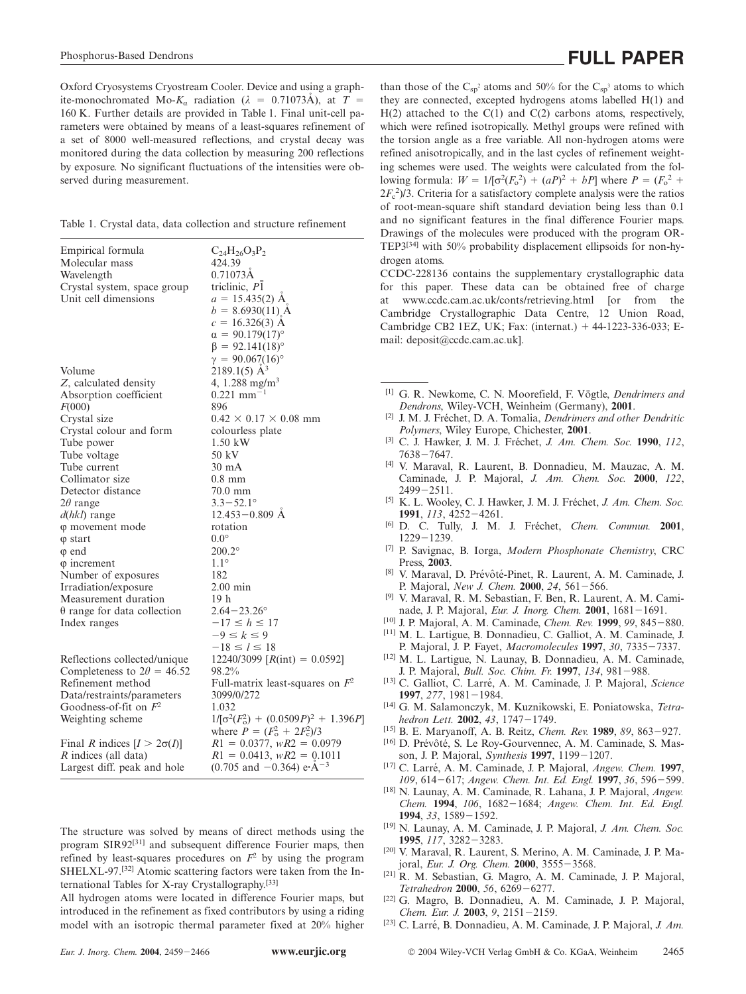Oxford Cryosystems Cryostream Cooler. Device and using a graphite-monochromated Mo- $K_a$  radiation ( $\lambda = 0.71073\text{\AA}$ ), at  $T =$ 160 K. Further details are provided in Table 1. Final unit-cell parameters were obtained by means of a least-squares refinement of a set of 8000 well-measured reflections, and crystal decay was monitored during the data collection by measuring 200 reflections by exposure. No significant fluctuations of the intensities were observed during measurement.

|  |  |  |  |  |  |  |  | Table 1. Crystal data, data collection and structure refinement |
|--|--|--|--|--|--|--|--|-----------------------------------------------------------------|
|--|--|--|--|--|--|--|--|-----------------------------------------------------------------|

| Empirical formula<br>Molecular mass<br>Wavelength<br>Crystal system, space group<br>Unit cell dimensions | $C_{24}H_{26}O_3P_2$<br>424.39<br>$0.71073\text{\AA}$<br>triclinic, P1<br>$a = 15.435(2)$ A<br>$b = 8.6930(11)$ A<br>$c = 16.326(3)$ A<br>$\alpha = 90.179(17)^{\circ}$<br>$\beta = 92.141(18)$ °<br>$\gamma = 90.067(16)$ ° |
|----------------------------------------------------------------------------------------------------------|------------------------------------------------------------------------------------------------------------------------------------------------------------------------------------------------------------------------------|
| Volume                                                                                                   | $2189.1(5)$ $\AA$ <sup>3</sup>                                                                                                                                                                                               |
| Z, calculated density                                                                                    | 4, 1.288 mg/m <sup>3</sup>                                                                                                                                                                                                   |
| Absorption coefficient                                                                                   | $0.221$ mm <sup>-1</sup>                                                                                                                                                                                                     |
| F(000)                                                                                                   | 896                                                                                                                                                                                                                          |
| Crystal size                                                                                             | $0.42 \times 0.17 \times 0.08$ mm                                                                                                                                                                                            |
| Crystal colour and form                                                                                  | colourless plate                                                                                                                                                                                                             |
| Tube power                                                                                               | 1.50 kW                                                                                                                                                                                                                      |
| Tube voltage                                                                                             | 50 kV                                                                                                                                                                                                                        |
| Tube current                                                                                             | $30 \text{ mA}$                                                                                                                                                                                                              |
| Collimator size                                                                                          | $0.8$ mm                                                                                                                                                                                                                     |
| Detector distance                                                                                        | $70.0$ mm                                                                                                                                                                                                                    |
| $2\theta$ range                                                                                          | $3.3 - 52.1^{\circ}$                                                                                                                                                                                                         |
| $d(hkl)$ range                                                                                           | $12.453 - 0.809$ Å                                                                                                                                                                                                           |
| φ movement mode                                                                                          | rotation                                                                                                                                                                                                                     |
| $\varphi$ start                                                                                          | $0.0^{\circ}$                                                                                                                                                                                                                |
| $\varphi$ end                                                                                            | $200.2^{\circ}$                                                                                                                                                                                                              |
| $\varphi$ increment                                                                                      | $1.1^\circ$                                                                                                                                                                                                                  |
| Number of exposures                                                                                      | 182                                                                                                                                                                                                                          |
| Irradiation/exposure                                                                                     | $2.00$ min                                                                                                                                                                                                                   |
| Measurement duration                                                                                     | 19 h                                                                                                                                                                                                                         |
| $\theta$ range for data collection                                                                       | $2.64 - 23.26^{\circ}$                                                                                                                                                                                                       |
| Index ranges                                                                                             | $-17 \le h \le 17$                                                                                                                                                                                                           |
|                                                                                                          | $-9 \leq k \leq 9$                                                                                                                                                                                                           |
|                                                                                                          | $-18 \le l \le 18$                                                                                                                                                                                                           |
| Reflections collected/unique                                                                             | 12240/3099 [ $R(int) = 0.0592$ ]                                                                                                                                                                                             |
| Completeness to $2\theta = 46.52$                                                                        | 98.2%                                                                                                                                                                                                                        |
| Refinement method                                                                                        | Full-matrix least-squares on $F^2$                                                                                                                                                                                           |
| Data/restraints/parameters                                                                               | 3099/0/272                                                                                                                                                                                                                   |
| Goodness-of-fit on $F^2$                                                                                 | 1.032                                                                                                                                                                                                                        |
| Weighting scheme                                                                                         | $1/[\sigma^2(F_o^2) + (0.0509P)^2 + 1.396P]$<br>where $P = (F_o^2 + 2F_c^2)/3$                                                                                                                                               |
| Final R indices $[I > 2\sigma(I)]$                                                                       | $R1 = 0.0377$ , $wR2 = 0.0979$                                                                                                                                                                                               |
| R indices (all data)                                                                                     | $R1 = 0.0413$ , $wR2 = 0.1011$                                                                                                                                                                                               |
| Largest diff. peak and hole                                                                              | $(0.705$ and $-0.364)$ e·Å <sup>-3</sup>                                                                                                                                                                                     |

The structure was solved by means of direct methods using the program SIR92<sup>[31]</sup> and subsequent difference Fourier maps, then refined by least-squares procedures on  $F<sup>2</sup>$  by using the program SHELXL-97.[32] Atomic scattering factors were taken from the International Tables for X-ray Crystallography.[33]

All hydrogen atoms were located in difference Fourier maps, but introduced in the refinement as fixed contributors by using a riding model with an isotropic thermal parameter fixed at 20% higher than those of the  $C_{sp}^2$  atoms and 50% for the  $C_{sp}^3$  atoms to which they are connected, excepted hydrogens atoms labelled H(1) and  $H(2)$  attached to the  $C(1)$  and  $C(2)$  carbons atoms, respectively, which were refined isotropically. Methyl groups were refined with the torsion angle as a free variable. All non-hydrogen atoms were refined anisotropically, and in the last cycles of refinement weighting schemes were used. The weights were calculated from the following formula:  $W = 1/[\sigma^2(F_o^2) + (aP)^2 + bP]$  where  $P = (F_o^2 +$  $2F_c^2/3$ . Criteria for a satisfactory complete analysis were the ratios of root-mean-square shift standard deviation being less than 0.1 and no significant features in the final difference Fourier maps. Drawings of the molecules were produced with the program OR-TEP3[34] with 50% probability displacement ellipsoids for non-hydrogen atoms.

CCDC-228136 contains the supplementary crystallographic data for this paper. These data can be obtained free of charge at www.ccdc.cam.ac.uk/conts/retrieving.html [or from the Cambridge Crystallographic Data Centre, 12 Union Road, Cambridge CB2 1EZ, UK; Fax: (internat.) 44-1223-336-033; Email: deposit@ccdc.cam.ac.uk].

- [1] G. R. Newkome, C. N. Moorefield, F. Vögtle, *Dendrimers and*
- *Dendrons*, Wiley-VCH, Weinheim (Germany), **2001**. <sup>[2]</sup> J. M. J. Fréchet, D. A. Tomalia, *Dendrimers and other Dendritic*
- *Polymers*, Wiley Europe, Chichester, **<sup>2001</sup>**. [3] C. J. Hawker, J. M. J. Fre´chet, *J. Am. Chem. Soc.* **<sup>1990</sup>**, *<sup>112</sup>*, 7638-7647.
- [4] V. Maraval, R. Laurent, B. Donnadieu, M. Mauzac, A. M. Caminade, J. P. Majoral, *J. Am. Chem. Soc.* **2000**, *122*, 2499-2511.
- <sup>[5]</sup> K. L. Wooley, C. J. Hawker, J. M. J. Fréchet, *J. Am. Chem. Soc.* **1991**, *113*, 4252-4261.
- [6] D. C. Tully, J. M. J. Fre´chet, *Chem. Commun.* **2001**, 1229-1239.
- [7] P. Savignac, B. Iorga, *Modern Phosphonate Chemistry*, CRC Press, 2003.<br><sup>[8]</sup> V. Maraval, D. Prévôté-Pinet, R. Laurent, A. M. Caminade, J.
- P. Majoral, *New J. Chem.* **2000**, *24*, 561-566.
- [9] V. Maraval, R. M. Sebastian, F. Ben, R. Laurent, A. M. Caminade, J. P. Majoral, *Eur. J. Inorg. Chem.* **2001**, 1681-1691.
- [10] J. P. Majoral, A. M. Caminade, *Chem. Rev.* **1999**, *99*, 845-880.
- [11] M. L. Lartigue, B. Donnadieu, C. Galliot, A. M. Caminade, J. P. Majoral, J. P. Fayet, *Macromolecules* **1997**, *30*, 7335-7337.
- [12] M. L. Lartigue, N. Launay, B. Donnadieu, A. M. Caminade, J. P. Majoral, *Bull. Soc. Chim. Fr.* **1997**, *134*, 981-988.
- [13] C. Galliot, C. Larre´, A. M. Caminade, J. P. Majoral, *Science* **1997**, *277*, 1981-1984.
- [14] G. M. Salamonczyk, M. Kuznikowski, E. Poniatowska, *Tetrahedron Lett.* **2002**, *43*, 1747-1749.
- [15] B. E. Maryanoff, A. B. Reitz, *Chem. Rev.* **1989**, *89*, 863-927.
- [16] D. Prévôté, S. Le Roy-Gourvennec, A. M. Caminade, S. Masson, J. P. Majoral, *Synthesis* **1997**, 1199-1207.
- [17] C. Larre´, A. M. Caminade, J. P. Majoral, *Angew. Chem.* **1997**, *109*, 614-617; *Angew. Chem. Int. Ed. Engl.* **1997**, *36*, 596-599.
- [18] N. Launay, A. M. Caminade, R. Lahana, J. P. Majoral, *Angew. Chem.* **1994**, *106*, 1682-1684; *Angew. Chem. Int. Ed. Engl.* **1994**, *33*, 1589-1592.
- [19] N. Launay, A. M. Caminade, J. P. Majoral, *J. Am. Chem. Soc.* **1995**, *117*, 3282-3283.
- [20] V. Maraval, R. Laurent, S. Merino, A. M. Caminade, J. P. Majoral, *Eur. J. Org. Chem.* **2000**, 3555-3568.
- [21] R. M. Sebastian, G. Magro, A. M. Caminade, J. P. Majoral, *Tetrahedron* **2000**, *56*, 6269-6277.
- [22] G. Magro, B. Donnadieu, A. M. Caminade, J. P. Majoral, *Chem. Eur. J.* **2003**, *9*, 2151-2159.
- [23] C. Larre´, B. Donnadieu, A. M. Caminade, J. P. Majoral, *J. Am.*